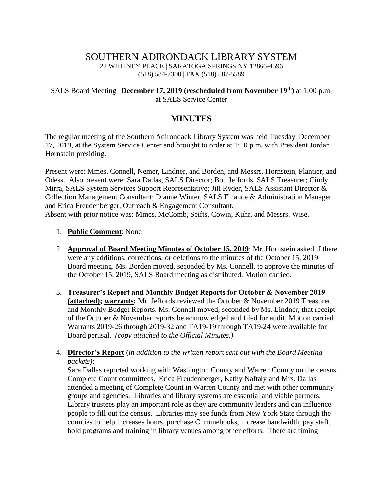# SOUTHERN ADIRONDACK LIBRARY SYSTEM 22 WHITNEY PLACE | SARATOGA SPRINGS NY 12866-4596 (518) 584-7300 | FAX (518) 587-5589

### SALS Board Meeting | **December 17, 2019 (rescheduled from November 19th)** at 1:00 p.m. at SALS Service Center

# **MINUTES**

The regular meeting of the Southern Adirondack Library System was held Tuesday, December 17, 2019, at the System Service Center and brought to order at 1:10 p.m. with President Jordan Hornstein presiding.

Present were: Mmes. Connell, Nemer, Lindner, and Borden, and Messrs. Hornstein, Plantier, and Odess. Also present were: Sara Dallas, SALS Director; Bob Jeffords, SALS Treasurer; Cindy Mirra, SALS System Services Support Representative; Jill Ryder, SALS Assistant Director & Collection Management Consultant; Dianne Winter, SALS Finance & Administration Manager and Erica Freudenberger, Outreach & Engagement Consultant. Absent with prior notice was: Mmes. McComb, Seifts, Cowin, Kuhr, and Messrs. Wise.

#### 1. **Public Comment**: None

- 2. **Approval of Board Meeting Minutes of October 15, 2019**: Mr. Hornstein asked if there were any additions, corrections, or deletions to the minutes of the October 15, 2019 Board meeting. Ms. Borden moved, seconded by Ms. Connell, to approve the minutes of the October 15, 2019, SALS Board meeting as distributed. Motion carried.
- 3. **Treasurer's Report and Monthly Budget Reports for October & November 2019 (attached); warrants:** Mr. Jeffords reviewed the October & November 2019 Treasurer and Monthly Budget Reports. Ms. Connell moved, seconded by Ms. Lindner, that receipt of the October & November reports be acknowledged and filed for audit. Motion carried. Warrants 2019-26 through 2019-32 and TA19-19 through TA19-24 were available for Board perusal. *(copy attached to the Official Minutes.)*

### 4. **Director's Report** (*in addition to the written report sent out with the Board Meeting packets)*:

Sara Dallas reported working with Washington County and Warren County on the census Complete Count committees. Erica Freudenberger, Kathy Naftaly and Mrs. Dallas attended a meeting of Complete Count in Warren County and met with other community groups and agencies. Libraries and library systems are essential and viable partners. Library trustees play an important role as they are community leaders and can influence people to fill out the census. Libraries may see funds from New York State through the counties to help increases hours, purchase Chromebooks, increase bandwidth, pay staff, hold programs and training in library venues among other efforts. There are timing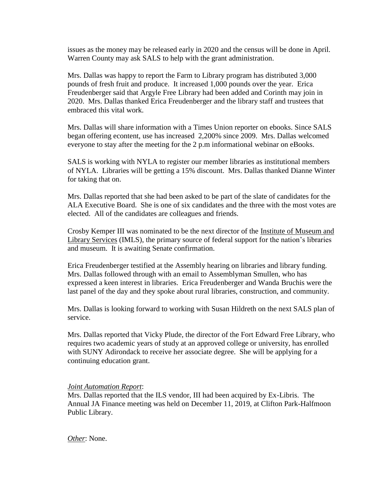issues as the money may be released early in 2020 and the census will be done in April. Warren County may ask SALS to help with the grant administration.

Mrs. Dallas was happy to report the Farm to Library program has distributed 3,000 pounds of fresh fruit and produce. It increased 1,000 pounds over the year. Erica Freudenberger said that Argyle Free Library had been added and Corinth may join in 2020. Mrs. Dallas thanked Erica Freudenberger and the library staff and trustees that embraced this vital work.

Mrs. Dallas will share information with a Times Union reporter on ebooks. Since SALS began offering econtent, use has increased 2,200% since 2009. Mrs. Dallas welcomed everyone to stay after the meeting for the 2 p.m informational webinar on eBooks.

SALS is working with NYLA to register our member libraries as institutional members of NYLA. Libraries will be getting a 15% discount. Mrs. Dallas thanked Dianne Winter for taking that on.

Mrs. Dallas reported that she had been asked to be part of the slate of candidates for the ALA Executive Board. She is one of six candidates and the three with the most votes are elected. All of the candidates are colleagues and friends.

Crosby Kemper III was nominated to be the next director of the Institute of Museum and Library Services (IMLS), the primary source of federal support for the nation's libraries and museum. It is awaiting Senate confirmation.

Erica Freudenberger testified at the Assembly hearing on libraries and library funding. Mrs. Dallas followed through with an email to Assemblyman Smullen, who has expressed a keen interest in libraries. Erica Freudenberger and Wanda Bruchis were the last panel of the day and they spoke about rural libraries, construction, and community.

Mrs. Dallas is looking forward to working with Susan Hildreth on the next SALS plan of service.

Mrs. Dallas reported that Vicky Plude, the director of the Fort Edward Free Library, who requires two academic years of study at an approved college or university, has enrolled with SUNY Adirondack to receive her associate degree. She will be applying for a continuing education grant.

#### *Joint Automation Report*:

Mrs. Dallas reported that the ILS vendor, III had been acquired by Ex-Libris. The Annual JA Finance meeting was held on December 11, 2019, at Clifton Park-Halfmoon Public Library.

*Other*: None.